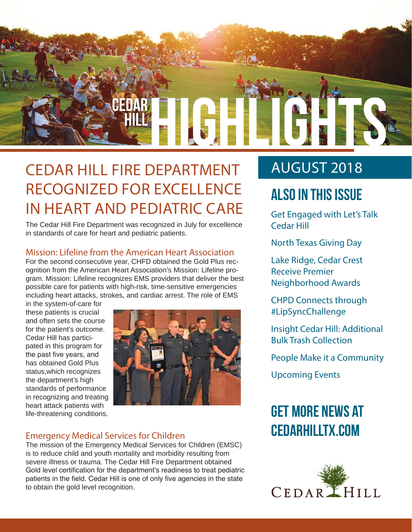

### CEDAR HILL FIRE DEPARTMENT RECOGNIZED FOR EXCELLENCE IN HEART AND PEDIATRIC CARE

The Cedar Hill Fire Department was recognized in July for excellence in standards of care for heart and pediatric patients.

#### Mission: Lifeline from the American Heart Association

For the second consecutive year, CHFD obtained the Gold Plus recognition from the American Heart Association's Mission: Lifeline program. Mission: Lifeline recognizes EMS providers that deliver the best possible care for patients with high-risk, time-sensitive emergencies including heart attacks, strokes, and cardiac arrest. The role of EMS

in the system-of-care for these patients is crucial and often sets the course for the patient's outcome. Cedar Hill has participated in this program for the past five years, and has obtained Gold Plus status,which recognizes the department's high standards of performance in recognizing and treating heart attack patients with life-threatening conditions.



#### Emergency Medical Services for Children

The mission of the Emergency Medical Services for Children (EMSC) is to reduce child and youth mortality and morbidity resulting from severe illness or trauma. The Cedar Hill Fire Department obtained Gold level certification for the department's readiness to treat pediatric patients in the field. Cedar Hill is one of only five agencies in the state to obtain the gold level recognition.

### AUGUST 2018

### **Also In this Issue**

Get Engaged with Let's Talk Cedar Hill

North Texas Giving Day

Lake Ridge, Cedar Crest Receive Premier Neighborhood Awards

CHPD Connects through #LipSyncChallenge

Insight Cedar Hill: Additional Bulk Trash Collection

People Make it a Community

Upcoming Events

### **Get more news at cedarhilltx.com**

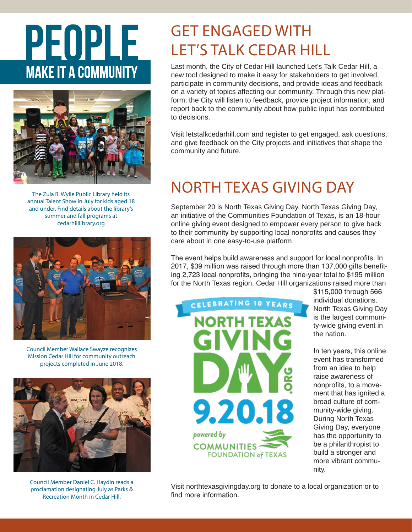# PEOPLE **MAKE IT A COMMUNITY**



The Zula B. Wylie Public Library held its annual Talent Show in July for kids aged 18 and under. Find details about the library's summer and fall programs at cedarhilllibrary.org



Council Member Wallace Swayze recognizes Mission Cedar Hill for community outreach projects completed in June 2018.



Council Member Daniel C. Haydin reads a proclamation designating July as Parks & Recreation Month in Cedar Hill.

### GET ENGAGED WITH LET'S TALK CEDAR HILL

Last month, the City of Cedar Hill launched Let's Talk Cedar Hill, a new tool designed to make it easy for stakeholders to get involved, participate in community decisions, and provide ideas and feedback on a variety of topics affecting our community. Through this new platform, the City will listen to feedback, provide project information, and report back to the community about how public input has contributed to decisions.

Visit letstalkcedarhill.com and register to get engaged, ask questions, and give feedback on the City projects and initiatives that shape the community and future.

### NORTH TEXAS GIVING DAY

September 20 is North Texas Giving Day. North Texas Giving Day, an initiative of the Communities Foundation of Texas, is an 18-hour online giving event designed to empower every person to give back to their community by supporting local nonprofits and causes they care about in one easy-to-use platform.

The event helps build awareness and support for local nonprofits. In 2017, \$39 million was raised through more than 137,000 gifts benefiting 2,723 local nonprofits, bringing the nine-year total to \$195 million for the North Texas region. Cedar Hill organizations raised more than



\$115,000 through 566 individual donations. North Texas Giving Day is the largest community-wide giving event in the nation.

In ten years, this online event has transformed from an idea to help raise awareness of nonprofits, to a movement that has ignited a broad culture of community-wide giving. During North Texas Giving Day, everyone has the opportunity to be a philanthropist to build a stronger and more vibrant community.

Visit northtexasgivingday.org to donate to a local organization or to find more information.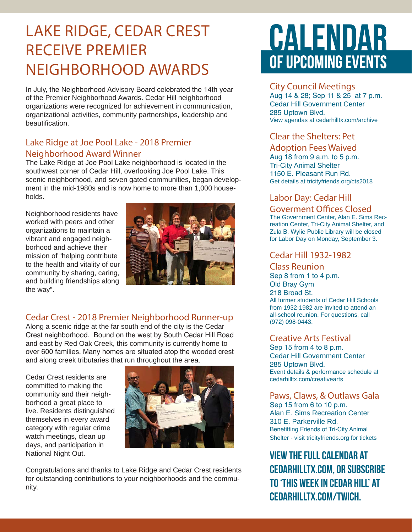### LAKE RIDGE, CEDAR CREST RECEIVE PREMIER NEIGHBORHOOD AWARDS

In July, the Neighborhood Advisory Board celebrated the 14th year of the Premier Neighborhood Awards. Cedar Hill neighborhood organizations were recognized for achievement in communication, organizational activities, community partnerships, leadership and beautification.

#### Lake Ridge at Joe Pool Lake - 2018 Premier Neighborhood Award Winner

The Lake Ridge at Joe Pool Lake neighborhood is located in the southwest corner of Cedar Hill, overlooking Joe Pool Lake. This scenic neighborhood, and seven gated communities, began development in the mid-1980s and is now home to more than 1,000 households.

Neighborhood residents have worked with peers and other organizations to maintain a vibrant and engaged neighborhood and achieve their mission of "helping contribute to the health and vitality of our community by sharing, caring, and building friendships along the way".



#### Cedar Crest - 2018 Premier Neighborhood Runner-up

Along a scenic ridge at the far south end of the city is the Cedar Crest neighborhood. Bound on the west by South Cedar Hill Road and east by Red Oak Creek, this community is currently home to over 600 families. Many homes are situated atop the wooded crest and along creek tributaries that run throughout the area.

Cedar Crest residents are committed to making the community and their neighborhood a great place to live. Residents distinguished themselves in every award category with regular crime watch meetings, clean up days, and participation in National Night Out.



Congratulations and thanks to Lake Ridge and Cedar Crest residents for outstanding contributions to your neighborhoods and the community.

## CALENDAR OF UPCOMING EVENTS

#### City Council Meetings

Aug 14 & 28; Sep 11 & 25 at 7 p.m. Cedar Hill Government Center 285 Uptown Blvd. View agendas at cedarhilltx.com/archive

#### Clear the Shelters: Pet

#### Adoption Fees Waived

Aug 18 from 9 a.m. to 5 p.m. Tri-City Animal Shelter 1150 E. Pleasant Run Rd. Get details at tricityfriends.org/cts2018

#### Labor Day: Cedar Hill

Goverment Offices Closed The Government Center, Alan E. Sims Recreation Center, Tri-City Animal Shelter, and Zula B. Wylie Public Library will be closed for Labor Day on Monday, September 3.

#### Cedar Hill 1932-1982

Class Reunion Sep 8 from 1 to 4 p.m. Old Bray Gym 218 Broad St. All former students of Cedar Hill Schools from 1932-1982 are invited to attend an all-school reunion. For questions, call (972) 098-0443.

#### Creative Arts Festival

Sep 15 from 4 to 8 p.m. Cedar Hill Government Center 285 Uptown Blvd. Event details & performance schedule at cedarhilltx.com/creativearts

#### Paws, Claws, & Outlaws Gala Sep 15 from 6 to 10 p.m.

Alan E. Sims Recreation Center 310 E. Parkerville Rd. Benefitting Friends of Tri-City Animal Shelter - visit tricityfriends.org for tickets

**View the full calendar at cedarhilltx.com, or subscribe to 'This Week in Cedar Hill' at cedarhilltx.com/twich.**